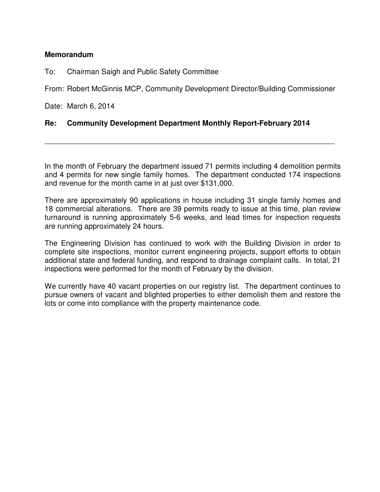## **Memorandum**

To: Chairman Saigh and Public Safety Committee

From: Robert McGinnis MCP, Community Development Director/Building Commissioner

Date: March 6, 2014

## **Re: Community Development Department Monthly Report-February 2014**

In the month of February the department issued 71 permits including 4 demolition permits and 4 permits for new single family homes. The department conducted 174 inspections and revenue for the month came in at just over \$131,000.

\_\_\_\_\_\_\_\_\_\_\_\_\_\_\_\_\_\_\_\_\_\_\_\_\_\_\_\_\_\_\_\_\_\_\_\_\_\_\_\_\_\_\_\_\_\_\_\_\_\_\_\_\_\_\_\_\_\_\_\_\_\_\_\_\_\_\_\_\_\_

There are approximately 90 applications in house including 31 single family homes and 18 commercial alterations. There are 39 permits ready to issue at this time, plan review turnaround is running approximately 5-6 weeks, and lead times for inspection requests are running approximately 24 hours.

The Engineering Division has continued to work with the Building Division in order to complete site inspections, monitor current engineering projects, support efforts to obtain additional state and federal funding, and respond to drainage complaint calls. In total, 21 inspections were performed for the month of February by the division.

We currently have 40 vacant properties on our registry list. The department continues to pursue owners of vacant and blighted properties to either demolish them and restore the lots or come into compliance with the property maintenance code.